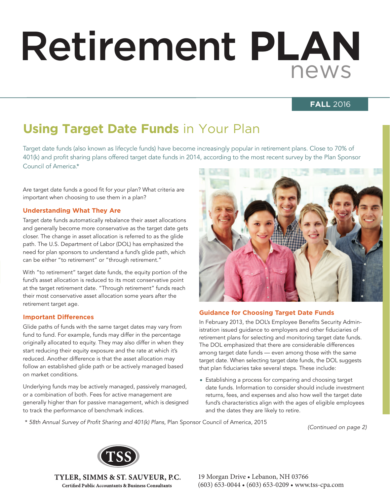# Retirement **PLAN** news

### **FALL** 2016

## **Using Target Date Funds** in Your Plan

Target date funds (also known as lifecycle funds) have become increasingly popular in retirement plans. Close to 70% of 401(k) and profit sharing plans offered target date funds in 2014, according to the most recent survey by the Plan Sponsor Council of America.\*

Are target date funds a good fit for your plan? What criteria are important when choosing to use them in a plan?

### **Understanding What They Are**

Target date funds automatically rebalance their asset allocations and generally become more conservative as the target date gets closer. The change in asset allocation is referred to as the glide path. The U.S. Department of Labor (DOL) has emphasized the need for plan sponsors to understand a fund's glide path, which can be either "to retirement" or "through retirement."

With "to retirement" target date funds, the equity portion of the fund's asset allocation is reduced to its most conservative point at the target retirement date. "Through retirement" funds reach their most conservative asset allocation some years after the retirement target age.

### **Important Differences**

Glide paths of funds with the same target dates may vary from fund to fund. For example, funds may differ in the percentage originally allocated to equity. They may also differ in when they start reducing their equity exposure and the rate at which it's reduced. Another difference is that the asset allocation may follow an established glide path or be actively managed based on market conditions.

Underlying funds may be actively managed, passively managed, or a combination of both. Fees for active management are generally higher than for passive management, which is designed to track the performance of benchmark indices.



### **Guidance for Choosing Target Date Funds**

In February 2013, the DOL's Employee Benefits Security Administration issued quidance to employers and other fiduciaries of retirement plans for selecting and monitoring target date funds. The DOL emphasized that there are considerable differences among target date funds — even among those with the same target date. When selecting target date funds, the DOL suggests that plan fiduciaries take several steps. These include:

• Establishing a process for comparing and choosing target date funds. Information to consider should include investment returns, fees, and expenses and also how well the target date fund's characteristics align with the ages of eligible employees and the dates they are likely to retire.

\* *58th Annual Survey of Profi t Sharing and 401(k) Plans*, Plan Sponsor Council of America, 2015 *(Continued on page 2)*



TYLER, SIMMS & ST. SAUVEUR, P.C. **Certified Public Accountants & Business Consultants** 

19 Morgan Drive • Lebanon, NH 03766 (603) 653-0044 • (603) 653-0209 • www.tss-cpa.com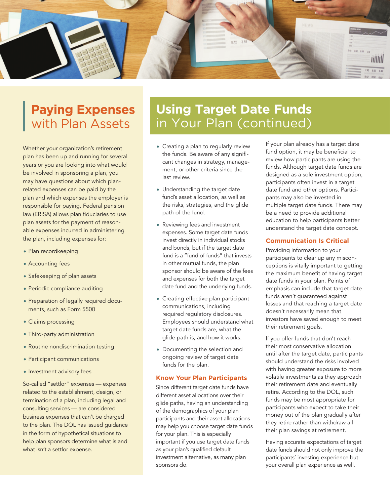

### **Paying Expenses**  with Plan Assets

Whether your organization's retirement plan has been up and running for several years or you are looking into what would be involved in sponsoring a plan, you may have questions about which planrelated expenses can be paid by the plan and which expenses the employer is responsible for paying. Federal pension law (ERISA) allows plan fiduciaries to use plan assets for the payment of reasonable expenses incurred in administering the plan, including expenses for:

- Plan recordkeeping
- Accounting fees
- Safekeeping of plan assets
- Periodic compliance auditing
- Preparation of legally required documents, such as Form 5500
- Claims processing
- Third-party administration
- Routine nondiscrimination testing
- Participant communications
- Investment advisory fees

So-called "settlor" expenses — expenses related to the establishment, design, or termination of a plan, including legal and consulting services — are considered business expenses that can't be charged to the plan. The DOL has issued guidance in the form of hypothetical situations to help plan sponsors determine what is and what isn't a settlor expense.

### **Using Target Date Funds** in Your Plan (continued)

- Creating a plan to regularly review the funds. Be aware of any significant changes in strategy, management, or other criteria since the last review.
- Understanding the target date fund's asset allocation, as well as the risks, strategies, and the glide path of the fund.
- Reviewing fees and investment expenses. Some target date funds invest directly in individual stocks and bonds, but if the target date fund is a "fund of funds" that invests in other mutual funds, the plan sponsor should be aware of the fees and expenses for both the target date fund and the underlying funds.
- Creating effective plan participant communications, including required regulatory disclosures. Employees should understand what target date funds are, what the glide path is, and how it works.
- Documenting the selection and ongoing review of target date funds for the plan.

#### **Know Your Plan Participants**

Since different target date funds have different asset allocations over their glide paths, having an understanding of the demographics of your plan participants and their asset allocations may help you choose target date funds for your plan. This is especially important if you use target date funds as your plan's qualified default investment alternative, as many plan sponsors do.

If your plan already has a target date fund option, it may be beneficial to review how participants are using the funds. Although target date funds are designed as a sole investment option, participants often invest in a target date fund and other options. Participants may also be invested in multiple target date funds. There may be a need to provide additional education to help participants better understand the target date concept.

### **Communication Is Critical**

Providing information to your participants to clear up any misconceptions is vitally important to getting the maximum benefit of having target date funds in your plan. Points of emphasis can include that target date funds aren't guaranteed against losses and that reaching a target date doesn't necessarily mean that investors have saved enough to meet their retirement goals.

If you offer funds that don't reach their most conservative allocation until after the target date, participants should understand the risks involved with having greater exposure to more volatile investments as they approach their retirement date and eventually retire. According to the DOL, such funds may be most appropriate for participants who expect to take their money out of the plan gradually after they retire rather than withdraw all their plan savings at retirement.

Having accurate expectations of target date funds should not only improve the participants' investing experience but your overall plan experience as well.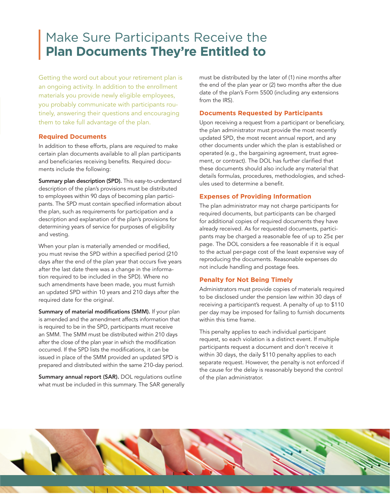### Make Sure Participants Receive the **Plan Documents They're Entitled to**

Getting the word out about your retirement plan is an ongoing activity. In addition to the enrollment materials you provide newly eligible employees, you probably communicate with participants routinely, answering their questions and encouraging them to take full advantage of the plan.

### **Required Documents**

In addition to these efforts, plans are *required* to make certain plan documents available to all plan participants and beneficiaries receiving benefits. Required documents include the following:

Summary plan description (SPD). This easy-to-understand description of the plan's provisions must be distributed to employees within 90 days of becoming plan participants. The SPD must contain specified information about the plan, such as requirements for participation and a description and explanation of the plan's provisions for determining years of service for purposes of eligibility and vesting.

When your plan is materially amended or modified, you must revise the SPD within a specified period (210) days after the end of the plan year that occurs five years after the last date there was a change in the information required to be included in the SPD). Where no such amendments have been made, you must furnish an updated SPD within 10 years and 210 days after the required date for the original.

Summary of material modifications (SMM). If your plan is amended and the amendment affects information that is required to be in the SPD, participants must receive an SMM. The SMM must be distributed within 210 days after the close of the plan year in which the modification occurred. If the SPD lists the modifications, it can be issued in place of the SMM provided an updated SPD is prepared and distributed within the same 210-day period.

Summary annual report (SAR). DOL regulations outline what must be included in this summary. The SAR generally must be distributed by the later of (1) nine months after the end of the plan year or (2) two months after the due date of the plan's Form 5500 (including any extensions from the IRS).

### **Documents Requested by Participants**

Upon receiving a request from a participant or beneficiary, the plan administrator must provide the most recently updated SPD, the most recent annual report, and any other documents under which the plan is established or operated (e.g., the bargaining agreement, trust agreement, or contract). The DOL has further clarified that these documents should also include any material that details formulas, procedures, methodologies, and schedules used to determine a benefit.

#### **Expenses of Providing Information**

The plan administrator may not charge participants for required documents, but participants can be charged for additional copies of required documents they have already received. As for requested documents, participants may be charged a reasonable fee of up to 25¢ per page. The DOL considers a fee reasonable if it is equal to the actual per-page cost of the least expensive way of reproducing the documents. Reasonable expenses do not include handling and postage fees.

### **Penalty for Not Being Timely**

Administrators must provide copies of materials required to be disclosed under the pension law within 30 days of receiving a participant's request. A penalty of up to \$110 per day may be imposed for failing to furnish documents within this time frame.

This penalty applies to each individual participant request, so each violation is a distinct event. If multiple participants request a document and don't receive it within 30 days, the daily \$110 penalty applies to each separate request. However, the penalty is not enforced if the cause for the delay is reasonably beyond the control of the plan administrator.